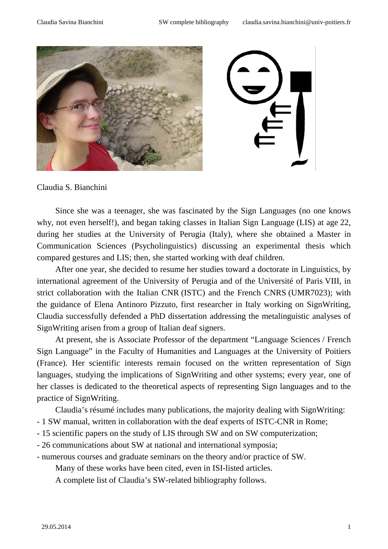

#### Claudia S. Bianchini

Since she was a teenager, she was fascinated by the Sign Languages (no one knows why, not even herself!), and began taking classes in Italian Sign Language (LIS) at age 22, during her studies at the University of Perugia (Italy), where she obtained a Master in Communication Sciences (Psycholinguistics) discussing an experimental thesis which compared gestures and LIS; then, she started working with deaf children.

After one year, she decided to resume her studies toward a doctorate in Linguistics, by international agreement of the University of Perugia and of the Université of Paris VIII, in strict collaboration with the Italian CNR (ISTC) and the French CNRS (UMR7023); with the guidance of Elena Antinoro Pizzuto, first researcher in Italy working on SignWriting, Claudia successfully defended a PhD dissertation addressing the metalinguistic analyses of SignWriting arisen from a group of Italian deaf signers.

At present, she is Associate Professor of the department "Language Sciences / French Sign Language" in the Faculty of Humanities and Languages at the University of Poitiers (France). Her scientific interests remain focused on the written representation of Sign languages, studying the implications of SignWriting and other systems; every year, one of her classes is dedicated to the theoretical aspects of representing Sign languages and to the practice of SignWriting.

Claudia's résumé includes many publications, the majority dealing with SignWriting:

- 1 SW manual, written in collaboration with the deaf experts of ISTC-CNR in Rome;
- 15 scientific papers on the study of LIS through SW and on SW computerization;
- 26 communications about SW at national and international symposia;
- numerous courses and graduate seminars on the theory and/or practice of SW.

Many of these works have been cited, even in ISI-listed articles.

A complete list of Claudia's SW-related bibliography follows.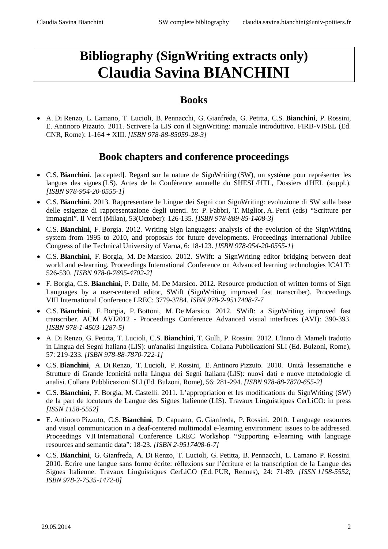# **Bibliography (SignWriting extracts only) Claudia Savina BIANCHINI**

### **Books**

• A. Di Renzo, L. Lamano, T. Lucioli, B. Pennacchi, G. Gianfreda, G. Petitta, C.S. **Bianchini**, P. Rossini, E. Antinoro Pizzuto. 2011. Scrivere la LIS con il SignWriting: manuale introduttivo. FIRB-VISEL (Ed. CNR, Rome): 1-164 + XIII. *[ISBN 978-88-85059-28-3]*

### **Book chapters and conference proceedings**

- C.S. **Bianchini**. [accepted]. Regard sur la nature de SignWriting (SW), un système pour représenter les langues des signes (LS). Actes de la Conférence annuelle du SHESL/HTL, Dossiers d'HEL (suppl.)*. [ISBN 978-954-20-0555-1]*
- C.S. **Bianchini**. 2013. Rappresentare le Lingue dei Segni con SignWriting: evoluzione di SW sulla base delle esigenze di rappresentazione degli utenti. *in*: P. Fabbri, T. Miglior, A. Perri (eds) "Scritture per immagini". Il Verri (Milan), 53(October): 126-135. *[ISBN 978-889-85-1408-3]*
- C.S. **Bianchini**, F. Borgia. 2012. Writing Sign languages: analysis of the evolution of the SignWriting system from 1995 to 2010, and proposals for future developments. Proceedings International Jubilee Congress of the Technical University of Varna, 6: 18-123. *[ISBN 978-954-20-0555-1]*
- C.S. **Bianchini**, F. Borgia, M. De Marsico. 2012. SWift: a SignWriting editor bridging between deaf world and e-learning. Proceedings International Conference on Advanced learning technologies ICALT: 526-530. *[ISBN 978-0-7695-4702-2]*
- F. Borgia, C.S. **Bianchini**, P. Dalle, M. De Marsico. 2012. Resource production of written forms of Sign Languages by a user-centered editor, SWift (SignWriting improved fast transcriber). Proceedings VIII International Conference LREC: 3779-3784. *ISBN 978-2-9517408-7-7*
- C.S. **Bianchini**, F. Borgia, P. Bottoni, M. De Marsico. 2012. SWift: a SignWriting improved fast transcriber. ACM AVI2012 - Proceedings Conference Advanced visual interfaces (AVI): 390-393. *[ISBN 978-1-4503-1287-5]*
- A. Di Renzo, G. Petitta, T. Lucioli, C.S. **Bianchini**, T. Gulli, P. Rossini. 2012. L'Inno di Mameli tradotto in Lingua dei Segni Italiana (LIS): un'analisi linguistica. Collana Pubblicazioni SLI (Ed. Bulzoni, Rome), 57: 219-233. *[ISBN 978-88-7870-722-1]*
- C.S. **Bianchini**, A. Di Renzo, T. Lucioli, P. Rossini, E. Antinoro Pizzuto. 2010. Unità lessematiche e Strutture di Grande Iconicità nella Lingua dei Segni Italiana (LIS): nuovi dati e nuove metodologie di analisi. Collana Pubblicazioni SLI (Ed. Bulzoni, Rome), 56: 281-294. *[ISBN 978-88-7870-655-2]*
- C.S. **Bianchini**, F. Borgia, M. Castelli. 2011. L'appropriation et les modifications du SignWriting (SW) de la part de locuteurs de Langue des Signes Italienne (LIS). Travaux Linguistiques CerLiCO: in press *[ISSN 1158-5552]*
- E. Antinoro Pizzuto, C.S. **Bianchini**, D. Capuano, G. Gianfreda, P. Rossini. 2010. Language resources and visual communication in a deaf-centered multimodal e-learning environment: issues to be addressed. Proceedings VII International Conference LREC Workshop "Supporting e-learning with language resources and semantic data": 18-23. *[ISBN 2-9517408-6-7]*
- C.S. **Bianchini**, G. Gianfreda, A. Di Renzo, T. Lucioli, G. Petitta, B. Pennacchi, L. Lamano P. Rossini. 2010. Écrire une langue sans forme écrite: réflexions sur l'écriture et la transcription de la Langue des Signes Italienne. Travaux Linguistiques CerLiCO (Ed. PUR, Rennes), 24: 71-89. *[ISSN 1158-5552; ISBN 978-2-7535-1472-0]*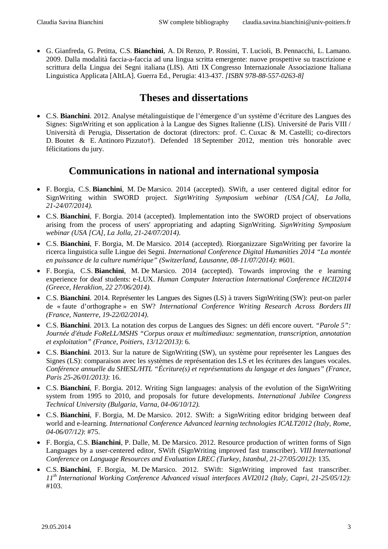• G. Gianfreda, G. Petitta, C.S. **Bianchini**, A. Di Renzo, P. Rossini, T. Lucioli, B. Pennacchi, L. Lamano. 2009. Dalla modalità faccia-a-faccia ad una lingua scritta emergente: nuove prospettive su trascrizione e scrittura della Lingua dei Segni italiana (LIS). Atti IX Congresso Internazionale Associazione Italiana Linguistica Applicata [AItLA]. Guerra Ed., Perugia: 413-437. *[ISBN 978-88-557-0263-8]*

## **Theses and dissertations**

• C.S. **Bianchini**. 2012. Analyse métalinguistique de l'émergence d'un système d'écriture des Langues des Signes: SignWriting et son application à la Langue des Signes Italienne (LIS). Université de Paris VIII / Università di Perugia, Dissertation de doctorat (directors: prof. C. Cuxac & M. Castelli; co-directors D. Boutet & E. Antinoro Pizzuto†). Defended 18 September 2012, mention très honorable avec félicitations du jury.

### **Communications in national and international symposia**

- F. Borgia, C.S. **Bianchini**, M. De Marsico. 2014 (accepted). SWift, a user centered digital editor for SignWriting within SWORD project. *SignWriting Symposium webinar (USA [CA], La Jolla, 21-24/07/2014).*
- C.S. **Bianchini**, F. Borgia. 2014 (accepted). Implementation into the SWORD project of observations arising from the process of users' appropriating and adapting SignWriting. *SignWriting Symposium webinar (USA [CA], La Jolla, 21-24/07/2014)*.
- C.S. **Bianchini**, F. Borgia, M. De Marsico. 2014 (accepted). Riorganizzare SignWriting per favorire la ricerca linguistica sulle Lingue dei Segni. *International Conference Digital Humanities 2014 "La montée en puissance de la culture numérique" (Switzerland, Lausanne, 08-11/07/2014)*: #601*.*
- F. Borgia, C.S. **Bianchini**, M. De Marsico. 2014 (accepted). Towards improving the e learning experience for deaf students: e-LUX. *Human Computer Interaction International Conference HCII2014 (Greece, Heraklion, 22 27/06/2014).*
- C.S. **Bianchini**. 2014. Représenter les Langues des Signes (LS) à travers SignWriting (SW): peut-on parler de « faute d'orthographe » en SW? *International Conference Writing Research Across Borders III (France, Nanterre, 19-22/02/2014)*.
- C.S. **Bianchini**. 2013. La notation des corpus de Langues des Signes: un défi encore ouvert. *"Parole 5": Journée d'étude FoReLL/MSHS "Corpus oraux et multimediaux: segmentation, transcription, annotation et exploitation" (France, Poitiers, 13/12/2013)*: 6.
- C.S. **Bianchini**. 2013. Sur la nature de SignWriting (SW), un système pour représenter les Langues des Signes (LS): comparaison avec les systèmes de représentation des LS et les écritures des langues vocales. *Conférence annuelle du SHESL/HTL "Écriture(s) et représentations du langage et des langues" (France, Paris 25-26/01/2013)*: 16.
- C.S. **Bianchini**, F. Borgia. 2012. Writing Sign languages: analysis of the evolution of the SignWriting system from 1995 to 2010, and proposals for future developments. *International Jubilee Congress Technical University (Bulgaria, Varna, 04-06/10/12).*
- C.S. **Bianchini**, F. Borgia, M. De Marsico. 2012. SWift: a SignWriting editor bridging between deaf world and e-learning. *International Conference Advanced learning technologies ICALT2012 (Italy, Rome, 04-06/07/12)*: #75.
- F. Borgia, C.S. **Bianchini**, P. Dalle, M. De Marsico. 2012. Resource production of written forms of Sign Languages by a user-centered editor, SWift (SignWriting improved fast transcriber). *VIII International Conference on Language Resources and Evaluation LREC (Turkey, Istanbul, 21-27/05/2012)*: 135.
- C.S. **Bianchini**, F. Borgia, M. De Marsico. 2012. SWift: SignWriting improved fast transcriber. *11th International Working Conference Advanced visual interfaces AVI2012 (Italy, Capri, 21-25/05/12)*: #103.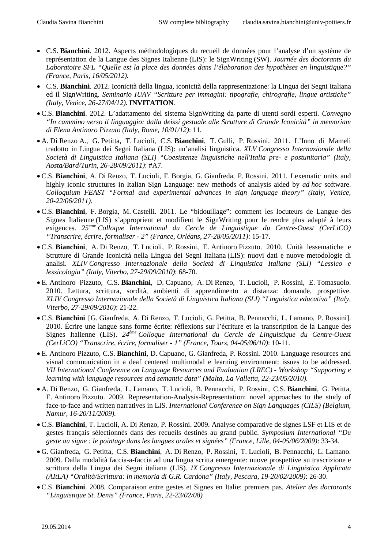- C.S. **Bianchini**. 2012. Aspects méthodologiques du recueil de données pour l'analyse d'un système de représentation de la Langue des Signes Italienne (LIS): le SignWriting (SW). *Journée des doctorants du Laboratoire SFL "Quelle est la place des données dans l'élaboration des hypothèses en linguistique?" (France, Paris, 16/05/2012).*
- C.S. **Bianchini**. 2012. Iconicità della lingua, iconicità della rappresentazione: la Lingua dei Segni Italiana ed il SignWriting. *Seminario IUAV "Scritture per immagini: tipografie, chirografie, lingue artistiche" (Italy, Venice, 26-27/04/12).* **INVITATION***.*
- C.S. **Bianchini**. 2012. L'adattamento del sistema SignWriting da parte di utenti sordi esperti. *Convegno "In cammino verso il linguaggio: dalla deissi gestuale alle Strutture di Grande Iconicità" in memoriam di Elena Antinoro Pizzuto (Italy, Rome, 10/01/12)*: 11*.*
- A. Di Renzo A., G. Petitta, T. Lucioli, C.S. **Bianchini**, T. Gulli, P. Rossini. 2011. L'Inno di Mameli tradotto in Lingua dei Segni Italiana (LIS): un'analisi linguistica. *XLV Congresso Internazionale della Società di Linguistica Italiana (SLI) "Coesistenze linguistiche nell'Italia pre- e postunitaria" (Italy, Aosta/Bard/Turin, 26-28/09/2011)*: #A7.
- C.S. **Bianchini**, A. Di Renzo, T. Lucioli, F. Borgia, G. Gianfreda, P. Rossini. 2011. Lexematic units and highly iconic structures in Italian Sign Language: new methods of analysis aided by *ad hoc* software. *Colloquium FEAST "Formal and experimental advances in sign language theory" (Italy, Venice, 20-22/06/2011).*
- C.S. **Bianchini**, F. Borgia, M. Castelli. 2011. Le "bidouillage": comment les locuteurs de Langue des Signes Italienne (LIS) s'approprient et modifient le SignWriting pour le rendre plus adapté à leurs exigences. *25ème Colloque International du Cercle de Linguistique du Centre-Ouest (CerLiCO) "Transcrire, écrire, formaliser - 2" (France, Orléans, 27-28/05/2011)*: 15-17.
- C.S. **Bianchini**, A. Di Renzo, T. Lucioli, P. Rossini, E. Antinoro Pizzuto. 2010. Unità lessematiche e Strutture di Grande Iconicità nella Lingua dei Segni Italiana (LIS): nuovi dati e nuove metodologie di analisi. *XLIV Congresso Internazionale della Società di Linguistica Italiana (SLI) "Lessico e lessicologia" (Italy, Viterbo, 27-29/09/2010)*: 68-70.
- E. Antinoro Pizzuto, C.S. **Bianchini**, D. Capuano, A. Di Renzo, T. Lucioli, P. Rossini, E. Tomasuolo. 2010. Lettura, scrittura, sordità, ambienti di apprendimento a distanza: domande, prospettive. *XLIV Congresso Internazionale della Società di Linguistica Italiana (SLI) "Linguistica educativa" (Italy, Viterbo, 27-29/09/2010)*: 21-22.
- C.S. **Bianchini** [G. Gianfreda, A. Di Renzo, T. Lucioli, G. Petitta, B. Pennacchi, L. Lamano, P. Rossini]. 2010. Écrire une langue sans forme écrite: réflexions sur l'écriture et la transcription de la Langue des Signes Italienne (LIS). *24ème Colloque International du Cercle de Linguistique du Centre-Ouest (CerLiCO) "Transcrire, écrire, formaliser - 1" (France, Tours, 04-05/06/10)*: 10-11*.*
- E. Antinoro Pizzuto, C.S. **Bianchini**, D. Capuano, G. Gianfreda, P. Rossini. 2010. Language resources and visual communication in a deaf centered multimodal e learning environment: issues to be addressed. *VII International Conference on Language Resources and Evaluation (LREC) - Workshop "Supporting e learning with language resources and semantic data" (Malta, La Valletta, 22-23/05/2010).*
- A. Di Renzo, G. Gianfreda, L. Lamano, T. Lucioli, B. Pennacchi, P. Rossini, C.S. **Bianchini**, G. Petitta, E. Antinoro Pizzuto. 2009. Representation-Analysis-Representation: novel approaches to the study of face-to-face and written narratives in LIS. *International Conference on Sign Languages (CILS) (Belgium, Namur, 16-20/11/2009).*
- C.S. **Bianchini**, T. Lucioli, A. Di Renzo, P. Rossini. 2009. Analyse comparative de signes LSF et LIS et de gestes français sélectionnés dans des recueils destinés au grand public. *Symposium International "Du geste au signe : le pointage dans les langues orales et signées" (France, Lille, 04-05/06/2009)*: 33-34.
- G. Gianfreda, G. Petitta, C.S. **Bianchini**, A. Di Renzo, P. Rossini, T. Lucioli, B. Pennacchi, L. Lamano. 2009. Dalla modalità faccia-a-faccia ad una lingua scritta emergente: nuove prospettive su trascrizione e scrittura della Lingua dei Segni italiana (LIS). *IX Congresso Internazionale di Linguistica Applicata (AItLA) "Oralità/Scrittura: in memoria di G.R. Cardona" (Italy, Pescara, 19-20/02/2009)*: 26-30.
- C.S. **Bianchini**. 2008. Comparaison entre gestes et Signes en Italie: premiers pas. *Atelier des doctorants "Linguistique St. Denis" (France, Paris, 22-23/02/08)*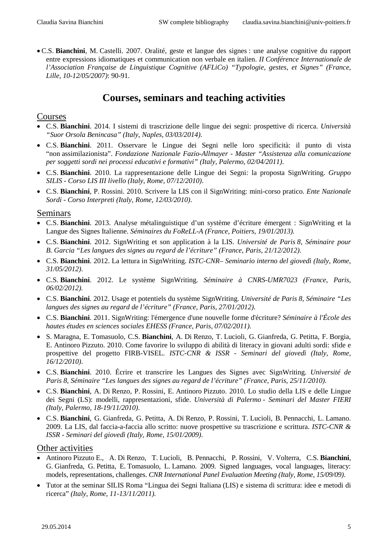• C.S. **Bianchini**, M. Castelli. 2007. Oralité, geste et langue des signes : une analyse cognitive du rapport entre expressions idiomatiques et communication non verbale en italien. *II Conférence Internationale de l'Association Française de Linguistique Cognitive (AFLiCo) "Typologie, gestes, et Signes" (France, Lille, 10-12/05/2007)*: 90-91.

### **Courses, seminars and teaching activities**

### Courses

- C.S. **Bianchini**. 2014. I sistemi di trascrizione delle lingue dei segni: prospettive di ricerca. *Università "Suor Orsola Benincasa" (Italy, Naples, 03/03/2014)*.
- C.S. **Bianchini**. 2011. Osservare le Lingue dei Segni nelle loro specificità: il punto di vista "non assimilazionista". *Fondazione Nazionale Fazio-Allmayer - Master "Assistenza alla comunicazione per soggetti sordi nei processi educativi e formativi" (Italy, Palermo, 02/04/2011)*.
- C.S. **Bianchini**. 2010. La rappresentazione delle Lingue dei Segni: la proposta SignWriting. *Gruppo SILIS - Corso LIS III livello (Italy, Rome, 07/12/2010)*.
- C.S. **Bianchini**, P. Rossini. 2010. Scrivere la LIS con il SignWriting: mini-corso pratico. *Ente Nazionale Sordi - Corso Interpreti (Italy, Rome, 12/03/2010)*.

#### Seminars

- C.S. **Bianchini**. 2013. Analyse métalinguistique d'un système d'écriture émergent : SignWriting et la Langue des Signes Italienne. *Séminaires du FoReLL-A (France, Poitiers, 19/01/2013).*
- C.S. **Bianchini**. 2012. SignWriting et son application à la LIS. *Université de Paris 8, Séminaire pour B. Garcia "Les langues des signes au regard de l'écriture" (France, Paris, 21/12/2012)*.
- C.S. **Bianchini**. 2012. La lettura in SignWriting. *ISTC-CNR– Seminario interno del giovedì (Italy, Rome, 31/05/2012)*.
- C.S. **Bianchini**. 2012. Le système SignWriting. *Séminaire à CNRS-UMR7023 (France, Paris, 06/02/2012).*
- C.S. **Bianchini**. 2012. Usage et potentiels du système SignWriting. *Université de Paris 8, Séminaire "Les langues des signes au regard de l'écriture" (France, Paris, 27/01/2012)*.
- C.S. **Bianchini**. 2011. SignWriting: l'émergence d'une nouvelle forme d'écriture? *Séminaire à l'École des hautes études en sciences sociales EHESS (France, Paris, 07/02/2011).*
- S. Maragna, E. Tomasuolo, C.S. **Bianchini**, A. Di Renzo, T. Lucioli, G. Gianfreda, G. Petitta, F. Borgia, E. Antinoro Pizzuto. 2010. Come favorire lo sviluppo di abilità di literacy in giovani adulti sordi: sfide e prospettive del progetto FIRB-VISEL. *ISTC-CNR & ISSR - Seminari del giovedì (Italy, Rome, 16/12/2010)*.
- C.S. **Bianchini**. 2010. Écrire et transcrire les Langues des Signes avec SignWriting. *Université de Paris 8, Séminaire "Les langues des signes au regard de l'écriture" (France, Paris, 25/11/2010)*.
- C.S. **Bianchini**, A. Di Renzo, P. Rossini, E. Antinoro Pizzuto. 2010. Lo studio della LIS e delle Lingue dei Segni (LS): modelli, rappresentazioni, sfide. *Università di Palermo - Seminari del Master FIERI (Italy, Palermo, 18-19/11/2010)*.
- C.S. **Bianchini**, G. Gianfreda, G. Petitta, A. Di Renzo, P. Rossini, T. Lucioli, B. Pennacchi, L. Lamano. 2009. La LIS, dal faccia-a-faccia allo scritto: nuove prospettive su trascrizione e scrittura. *ISTC-CNR & ISSR - Seminari del giovedì (Italy, Rome, 15/01/2009)*.

#### Other activities

- Antinoro Pizzuto E., A. Di Renzo, T. Lucioli, B. Pennacchi, P. Rossini, V. Volterra, C.S. **Bianchini**, G. Gianfreda, G. Petitta, E. Tomasuolo, L. Lamano. 2009. Signed languages, vocal languages, literacy: models, representations, challenges. *CNR International Panel Evaluation Meeting (Italy, Rome, 15/09/09)*.
- Tutor at the seminar SILIS Roma "Lingua dei Segni Italiana (LIS) e sistema di scrittura: idee e metodi di ricerca" *(Italy, Rome, 11-13/11/2011).*